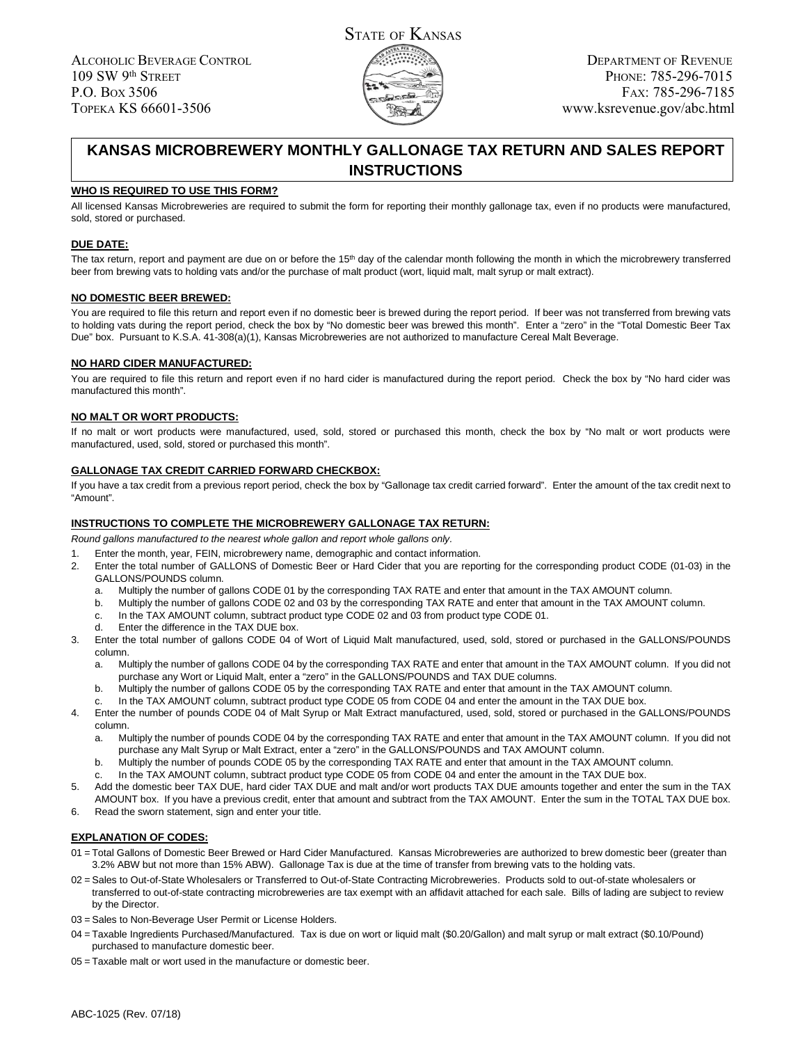

# **KANSAS MICROBREWERY MONTHLY GALLONAGE TAX RETURN AND SALES REPORT INSTRUCTIONS**

### **WHO IS REQUIRED TO USE THIS FORM?**

All licensed Kansas Microbreweries are required to submit the form for reporting their monthly gallonage tax, even if no products were manufactured, sold, stored or purchased.

## **DUE DATE:**

The tax return, report and payment are due on or before the 15<sup>th</sup> day of the calendar month following the month in which the microbrewery transferred beer from brewing vats to holding vats and/or the purchase of malt product (wort, liquid malt, malt syrup or malt extract).

#### **NO DOMESTIC BEER BREWED:**

You are required to file this return and report even if no domestic beer is brewed during the report period. If beer was not transferred from brewing vats to holding vats during the report period, check the box by "No domestic beer was brewed this month". Enter a "zero" in the "Total Domestic Beer Tax Due" box. Pursuant to K.S.A. 41-308(a)(1), Kansas Microbreweries are not authorized to manufacture Cereal Malt Beverage.

## **NO HARD CIDER MANUFACTURED:**

You are required to file this return and report even if no hard cider is manufactured during the report period. Check the box by "No hard cider was manufactured this month".

## **NO MALT OR WORT PRODUCTS:**

If no malt or wort products were manufactured, used, sold, stored or purchased this month, check the box by "No malt or wort products were manufactured, used, sold, stored or purchased this month".

#### **GALLONAGE TAX CREDIT CARRIED FORWARD CHECKBOX:**

If you have a tax credit from a previous report period, check the box by "Gallonage tax credit carried forward". Enter the amount of the tax credit next to "Amount".

# **INSTRUCTIONS TO COMPLETE THE MICROBREWERY GALLONAGE TAX RETURN:**

*Round gallons manufactured to the nearest whole gallon and report whole gallons only.*

- 1. Enter the month, year, FEIN, microbrewery name, demographic and contact information.
- 2. Enter the total number of GALLONS of Domestic Beer or Hard Cider that you are reporting for the corresponding product CODE (01-03) in the GALLONS/POUNDS column.
	- a. Multiply the number of gallons CODE 01 by the corresponding TAX RATE and enter that amount in the TAX AMOUNT column.
	- b. Multiply the number of gallons CODE 02 and 03 by the corresponding TAX RATE and enter that amount in the TAX AMOUNT column.
	- c. In the TAX AMOUNT column, subtract product type CODE 02 and 03 from product type CODE 01.
	- d. Enter the difference in the TAX DUE box.
- 3. Enter the total number of gallons CODE 04 of Wort of Liquid Malt manufactured, used, sold, stored or purchased in the GALLONS/POUNDS column.
	- a. Multiply the number of gallons CODE 04 by the corresponding TAX RATE and enter that amount in the TAX AMOUNT column. If you did not purchase any Wort or Liquid Malt, enter a "zero" in the GALLONS/POUNDS and TAX DUE columns.
	- b. Multiply the number of gallons CODE 05 by the corresponding TAX RATE and enter that amount in the TAX AMOUNT column.
	- In the TAX AMOUNT column, subtract product type CODE 05 from CODE 04 and enter the amount in the TAX DUE box.
- 4. Enter the number of pounds CODE 04 of Malt Syrup or Malt Extract manufactured, used, sold, stored or purchased in the GALLONS/POUNDS column.
	- a. Multiply the number of pounds CODE 04 by the corresponding TAX RATE and enter that amount in the TAX AMOUNT column. If you did not purchase any Malt Syrup or Malt Extract, enter a "zero" in the GALLONS/POUNDS and TAX AMOUNT column.
	- b. Multiply the number of pounds CODE 05 by the corresponding TAX RATE and enter that amount in the TAX AMOUNT column.
	- In the TAX AMOUNT column, subtract product type CODE 05 from CODE 04 and enter the amount in the TAX DUE box.
- 5. Add the domestic beer TAX DUE, hard cider TAX DUE and malt and/or wort products TAX DUE amounts together and enter the sum in the TAX AMOUNT box. If you have a previous credit, enter that amount and subtract from the TAX AMOUNT. Enter the sum in the TOTAL TAX DUE box.
- 6. Read the sworn statement, sign and enter your title.

#### **EXPLANATION OF CODES:**

- 01 = Total Gallons of Domestic Beer Brewed or Hard Cider Manufactured. Kansas Microbreweries are authorized to brew domestic beer (greater than 3.2% ABW but not more than 15% ABW). Gallonage Tax is due at the time of transfer from brewing vats to the holding vats.
- 02 = Sales to Out-of-State Wholesalers or Transferred to Out-of-State Contracting Microbreweries. Products sold to out-of-state wholesalers or transferred to out-of-state contracting microbreweries are tax exempt with an affidavit attached for each sale. Bills of lading are subject to review by the Director.
- 03 = Sales to Non-Beverage User Permit or License Holders.
- 04 = Taxable Ingredients Purchased/Manufactured. Tax is due on wort or liquid malt (\$0.20/Gallon) and malt syrup or malt extract (\$0.10/Pound) purchased to manufacture domestic beer.
- 05 = Taxable malt or wort used in the manufacture or domestic beer.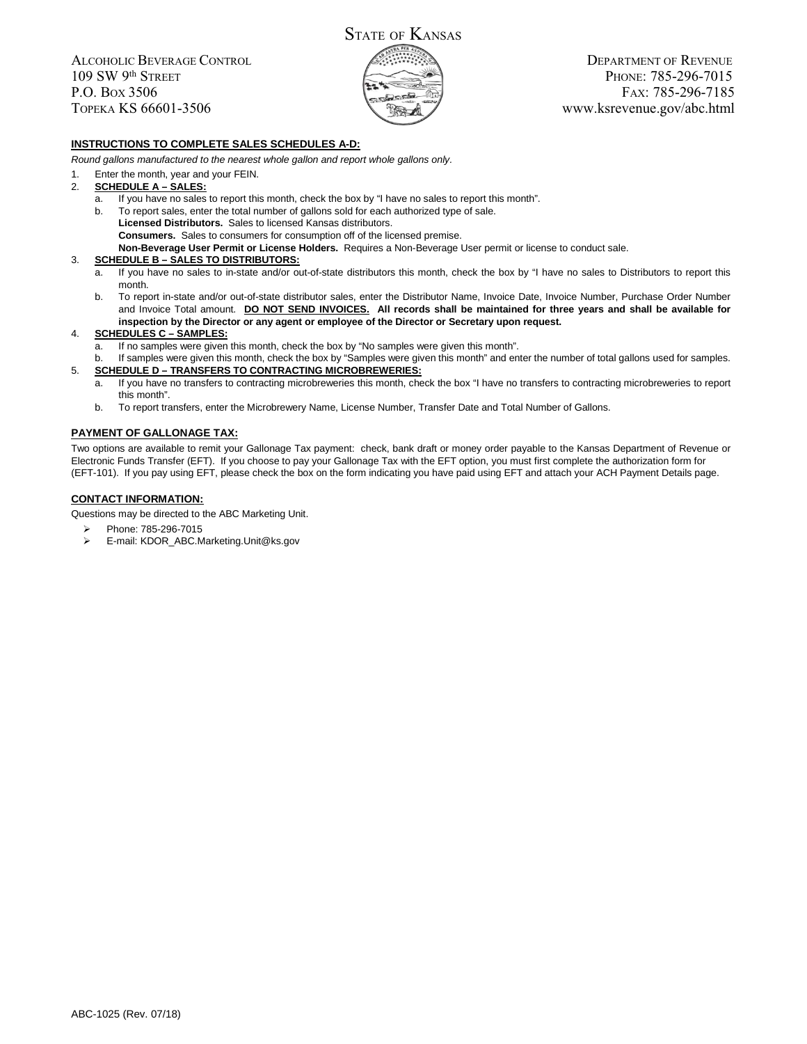ALCOHOLIC BEVERAGE CONTROL 109 SW 9th STREET P.O. BOX 3506 TOPEKA KS 66601-3506



DEPARTMENT OF REVENUE PHONE: 785-296-7015 FAX: 785-296-7185 www.ksrevenue.gov/abc.html

# **INSTRUCTIONS TO COMPLETE SALES SCHEDULES A-D:**

*Round gallons manufactured to the nearest whole gallon and report whole gallons only.*

- 1. Enter the month, year and your FEIN.
- 2. **SCHEDULE A SALES:**
	- a. If you have no sales to report this month, check the box by "I have no sales to report this month".
	- b. To report sales, enter the total number of gallons sold for each authorized type of sale. **Licensed Distributors.** Sales to licensed Kansas distributors. **Consumers.** Sales to consumers for consumption off of the licensed premise. **Non-Beverage User Permit or License Holders.** Requires a Non-Beverage User permit or license to conduct sale.

#### 3. **SCHEDULE B – SALES TO DISTRIBUTORS:**

- a. If you have no sales to in-state and/or out-of-state distributors this month, check the box by "I have no sales to Distributors to report this month.
- b. To report in-state and/or out-of-state distributor sales, enter the Distributor Name, Invoice Date, Invoice Number, Purchase Order Number and Invoice Total amount. **DO NOT SEND INVOICES. All records shall be maintained for three years and shall be available for inspection by the Director or any agent or employee of the Director or Secretary upon request.**

#### 4. **SCHEDULES C – SAMPLES:**

- If no samples were given this month, check the box by "No samples were given this month".
- b. If samples were given this month, check the box by "Samples were given this month" and enter the number of total gallons used for samples. 5. **SCHEDULE D – TRANSFERS TO CONTRACTING MICROBREWERIES:**
	- a. If you have no transfers to contracting microbreweries this month, check the box "I have no transfers to contracting microbreweries to report this month".
	- b. To report transfers, enter the Microbrewery Name, License Number, Transfer Date and Total Number of Gallons.

#### **PAYMENT OF GALLONAGE TAX:**

Two options are available to remit your Gallonage Tax payment: check, bank draft or money order payable to the Kansas Department of Revenue or Electronic Funds Transfer (EFT). If you choose to pay your Gallonage Tax with the EFT option, you must first complete the authorization form for (EFT-101). If you pay using EFT, please check the box on the form indicating you have paid using EFT and attach your ACH Payment Details page.

#### **CONTACT INFORMATION:**

Questions may be directed to the ABC Marketing Unit.

- ⋗ Phone: 785-296-7015
- ⋗ E-mail: KDOR\_ABC.Marketing.Unit@ks.gov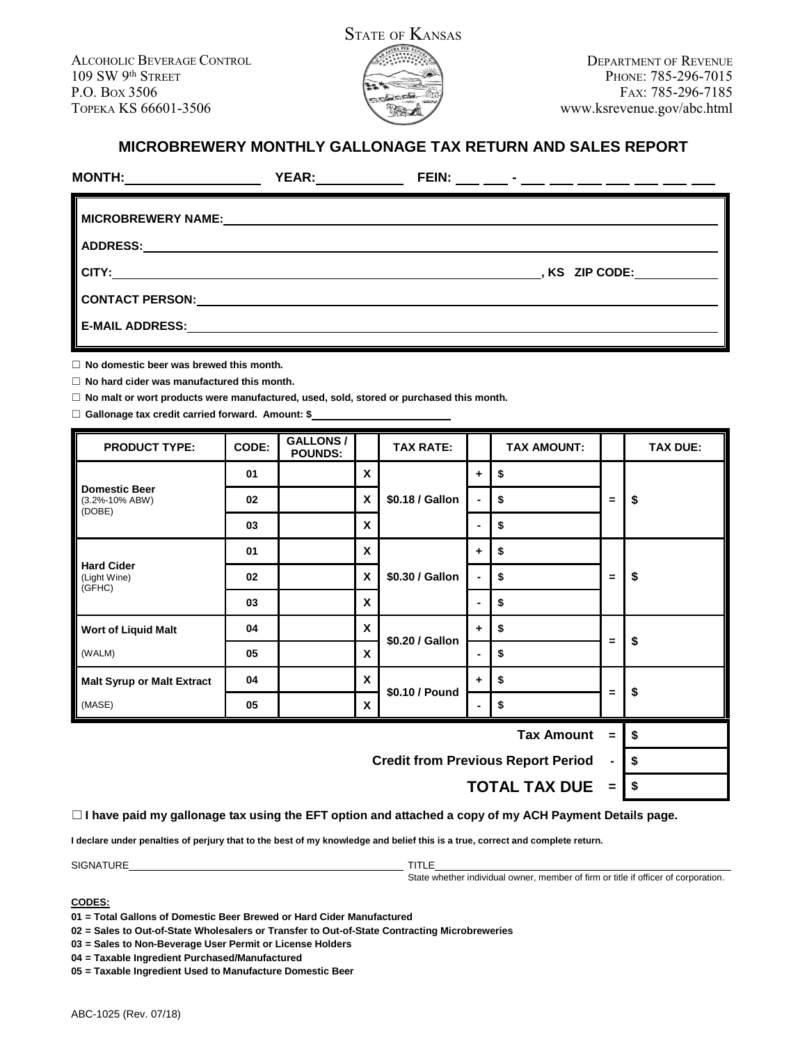

# **MICROBREWERY MONTHLY GALLONAGE TAX RETURN AND SALES REPORT**

|                                                                                                                                                                                                                                | <b>YEAR:______________</b>                                                                                           | FEIN: __ __ - __ - __ __ __ __ __ __ __ |
|--------------------------------------------------------------------------------------------------------------------------------------------------------------------------------------------------------------------------------|----------------------------------------------------------------------------------------------------------------------|-----------------------------------------|
|                                                                                                                                                                                                                                |                                                                                                                      |                                         |
|                                                                                                                                                                                                                                |                                                                                                                      |                                         |
| CITY:                                                                                                                                                                                                                          | <u> 1989 - Johann Stoff, deutscher Stoff, der Stoff, deutscher Stoff, der Stoff, der Stoff, der Stoff, der Stoff</u> | , KS ZIP CODE:                          |
| CONTACT PERSON: And the contract person in the contract person in the contract of the contract of the contract of the contract of the contract of the contract of the contract of the contract of the contract of the contract |                                                                                                                      |                                         |
| <b>E-MAIL ADDRESS:</b>                                                                                                                                                                                                         |                                                                                                                      |                                         |
|                                                                                                                                                                                                                                |                                                                                                                      |                                         |

☐ **No domestic beer was brewed this month.**

☐ **No hard cider was manufactured this month.**

☐ **No malt or wort products were manufactured, used, sold, stored or purchased this month.**

☐ **Gallonage tax credit carried forward. Amount: \$**

| <b>PRODUCT TYPE:</b>                                        | CODE: | <b>GALLONS/</b><br><b>POUNDS:</b> |                  | <b>TAX RATE:</b> |                | <b>TAX AMOUNT:</b> |          | <b>TAX DUE:</b> |
|-------------------------------------------------------------|-------|-----------------------------------|------------------|------------------|----------------|--------------------|----------|-----------------|
| <b>Domestic Beer</b><br>(3.2%-10% ABW)<br>(DOBE)            | 01    |                                   | X                | \$0.18 / Gallon  | ٠              | \$                 | =        |                 |
|                                                             | 02    |                                   | X                |                  | $\blacksquare$ | \$                 |          | \$              |
|                                                             | 03    |                                   | X                |                  | $\blacksquare$ | \$                 |          |                 |
|                                                             | 01    |                                   | X                | \$0.30 / Gallon  | ÷              | \$                 | $=$      | \$              |
| <b>Hard Cider</b><br>(Light Wine)<br>(GFHC)                 | 02    |                                   | X                |                  | $\blacksquare$ | \$                 |          |                 |
|                                                             | 03    |                                   | X                |                  | ۰              | \$                 |          |                 |
| <b>Wort of Liquid Malt</b>                                  | 04    |                                   | $\boldsymbol{x}$ | \$0.20 / Gallon  | $\ddot{}$      | \$                 | $\equiv$ | \$              |
| (WALM)                                                      | 05    |                                   | X                |                  | ٠              | \$                 |          |                 |
| <b>Malt Syrup or Malt Extract</b>                           | 04    |                                   | X                | \$0.10 / Pound   | ÷              | \$                 | $\equiv$ | \$              |
| (MASE)                                                      | 05    |                                   | X                |                  | ۰              | \$                 |          |                 |
| <b>Tax Amount</b><br>$\blacksquare$                         |       |                                   |                  |                  |                | \$                 |          |                 |
| <b>Credit from Previous Report Period</b><br>$\blacksquare$ |       |                                   |                  |                  |                | \$                 |          |                 |
|                                                             |       |                                   |                  |                  |                |                    |          |                 |

**TOTAL TAX DUE = \$**

☐ **I have paid my gallonage tax using the EFT option and attached a copy of my ACH Payment Details page.**

**I declare under penalties of perjury that to the best of my knowledge and belief this is a true, correct and complete return.**

SIGNATURE TITLE

State whether individual owner, member of firm or title if officer of corporation.

# **CODES:**

**01 = Total Gallons of Domestic Beer Brewed or Hard Cider Manufactured**

**02 = Sales to Out-of-State Wholesalers or Transfer to Out-of-State Contracting Microbreweries**

**03 = Sales to Non-Beverage User Permit or License Holders**

**04 = Taxable Ingredient Purchased/Manufactured**

**05 = Taxable Ingredient Used to Manufacture Domestic Beer**